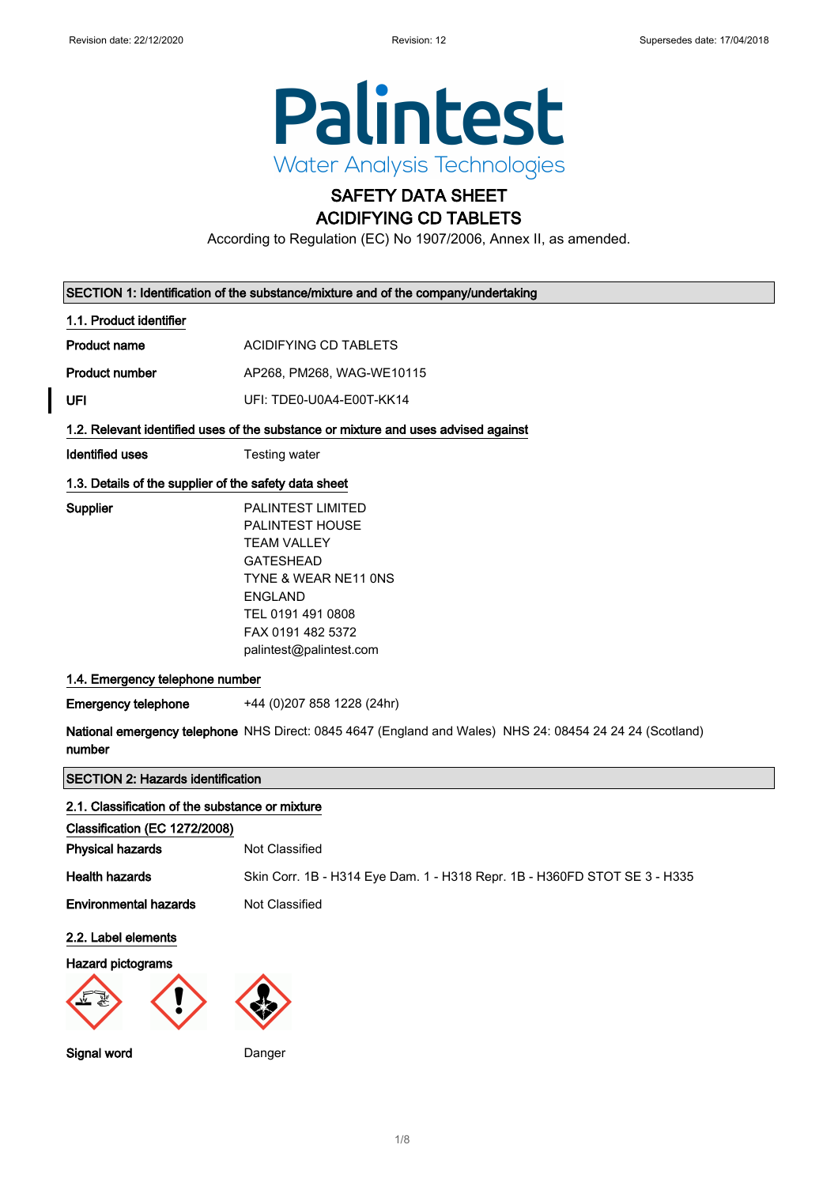

### SAFETY DATA SHEET ACIDIFYING CD TABLETS

According to Regulation (EC) No 1907/2006, Annex II, as amended.

| SECTION 1: Identification of the substance/mixture and of the company/undertaking |                                                                                                                                                                                                             |  |
|-----------------------------------------------------------------------------------|-------------------------------------------------------------------------------------------------------------------------------------------------------------------------------------------------------------|--|
| 1.1. Product identifier                                                           |                                                                                                                                                                                                             |  |
| <b>Product name</b>                                                               | ACIDIFYING CD TABLETS                                                                                                                                                                                       |  |
| <b>Product number</b>                                                             | AP268, PM268, WAG-WE10115                                                                                                                                                                                   |  |
| UFI                                                                               | UFI: TDE0-U0A4-E00T-KK14                                                                                                                                                                                    |  |
|                                                                                   | 1.2. Relevant identified uses of the substance or mixture and uses advised against                                                                                                                          |  |
| Identified uses                                                                   | Testing water                                                                                                                                                                                               |  |
| 1.3. Details of the supplier of the safety data sheet                             |                                                                                                                                                                                                             |  |
| Supplier                                                                          | <b>PALINTEST LIMITED</b><br><b>PALINTEST HOUSE</b><br><b>TEAM VALLEY</b><br><b>GATESHEAD</b><br>TYNE & WEAR NE11 ONS<br><b>ENGLAND</b><br>TEL 0191 491 0808<br>FAX 0191 482 5372<br>palintest@palintest.com |  |
| 1.4. Emergency telephone number                                                   |                                                                                                                                                                                                             |  |
| <b>Emergency telephone</b>                                                        | +44 (0) 207 858 1228 (24hr)                                                                                                                                                                                 |  |
| number                                                                            | National emergency telephone NHS Direct: 0845 4647 (England and Wales) NHS 24: 08454 24 24 24 (Scotland)                                                                                                    |  |
| <b>SECTION 2: Hazards identification</b>                                          |                                                                                                                                                                                                             |  |
| 2.1. Classification of the substance or mixture<br>Classification (EC 1272/2008)  |                                                                                                                                                                                                             |  |

| GRASSING CONTROLLED TZTZ/ZUUOT    |                                                                           |
|-----------------------------------|---------------------------------------------------------------------------|
| <b>Physical hazards</b>           | Not Classified                                                            |
| <b>Health hazards</b>             | Skin Corr. 1B - H314 Eye Dam. 1 - H318 Repr. 1B - H360FD STOT SE 3 - H335 |
| <b>Environmental hazards</b>      | Not Classified                                                            |
| 2.2. Label elements               |                                                                           |
| Hazard pictograms<br>$\mathbb{Z}$ |                                                                           |

Signal word Danger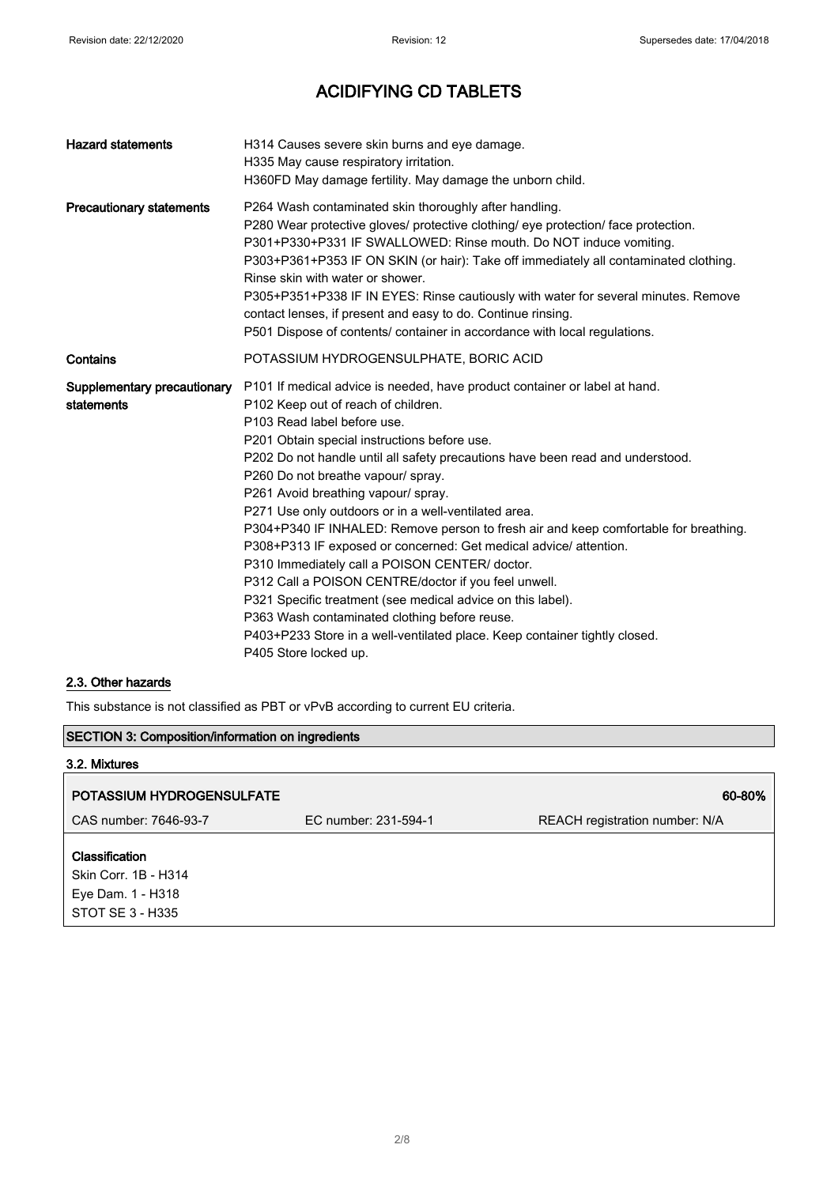| <b>Hazard statements</b>                  | H314 Causes severe skin burns and eye damage.<br>H335 May cause respiratory irritation.<br>H360FD May damage fertility. May damage the unborn child.                                                                                                                                                                                                                                                                                                                                                                                                                                                                                                                                                                                                                                                                                                                                                                  |
|-------------------------------------------|-----------------------------------------------------------------------------------------------------------------------------------------------------------------------------------------------------------------------------------------------------------------------------------------------------------------------------------------------------------------------------------------------------------------------------------------------------------------------------------------------------------------------------------------------------------------------------------------------------------------------------------------------------------------------------------------------------------------------------------------------------------------------------------------------------------------------------------------------------------------------------------------------------------------------|
| <b>Precautionary statements</b>           | P264 Wash contaminated skin thoroughly after handling.<br>P280 Wear protective gloves/ protective clothing/ eye protection/ face protection.<br>P301+P330+P331 IF SWALLOWED: Rinse mouth. Do NOT induce vomiting.<br>P303+P361+P353 IF ON SKIN (or hair): Take off immediately all contaminated clothing.<br>Rinse skin with water or shower.<br>P305+P351+P338 IF IN EYES: Rinse cautiously with water for several minutes. Remove<br>contact lenses, if present and easy to do. Continue rinsing.<br>P501 Dispose of contents/ container in accordance with local regulations.                                                                                                                                                                                                                                                                                                                                      |
| Contains                                  | POTASSIUM HYDROGENSULPHATE, BORIC ACID                                                                                                                                                                                                                                                                                                                                                                                                                                                                                                                                                                                                                                                                                                                                                                                                                                                                                |
| Supplementary precautionary<br>statements | P101 If medical advice is needed, have product container or label at hand.<br>P102 Keep out of reach of children.<br>P103 Read label before use.<br>P201 Obtain special instructions before use.<br>P202 Do not handle until all safety precautions have been read and understood.<br>P260 Do not breathe vapour/ spray.<br>P261 Avoid breathing vapour/ spray.<br>P271 Use only outdoors or in a well-ventilated area.<br>P304+P340 IF INHALED: Remove person to fresh air and keep comfortable for breathing.<br>P308+P313 IF exposed or concerned: Get medical advice/ attention.<br>P310 Immediately call a POISON CENTER/ doctor.<br>P312 Call a POISON CENTRE/doctor if you feel unwell.<br>P321 Specific treatment (see medical advice on this label).<br>P363 Wash contaminated clothing before reuse.<br>P403+P233 Store in a well-ventilated place. Keep container tightly closed.<br>P405 Store locked up. |

#### 2.3. Other hazards

This substance is not classified as PBT or vPvB according to current EU criteria.

#### SECTION 3: Composition/information on ingredients

# 3.2. Mixtures POTASSIUM HYDROGENSULFATE 60-80% CAS number: 7646-93-7 EC number: 231-594-1 REACH registration number: N/A Classification Skin Corr. 1B - H314 Eye Dam. 1 - H318 STOT SE 3 - H335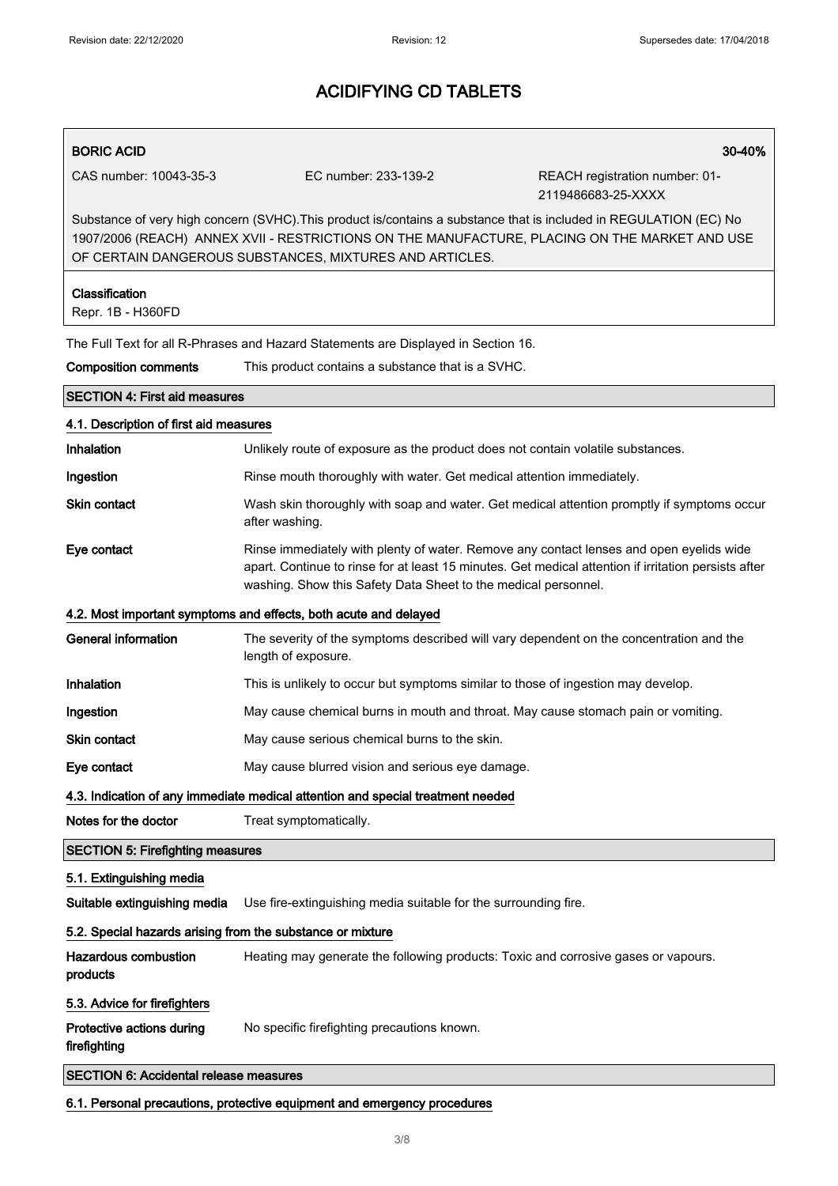#### BORIC ACID 30-40%

CAS number: 10043-35-3 EC number: 233-139-2 REACH registration number: 01-

2119486683-25-XXXX

Substance of very high concern (SVHC).This product is/contains a substance that is included in REGULATION (EC) No 1907/2006 (REACH) ANNEX XVII - RESTRICTIONS ON THE MANUFACTURE, PLACING ON THE MARKET AND USE OF CERTAIN DANGEROUS SUBSTANCES, MIXTURES AND ARTICLES.

| Classification<br>Repr. 1B - H360FD                                             |                                                                                                                                                                                                                                                                   |  |
|---------------------------------------------------------------------------------|-------------------------------------------------------------------------------------------------------------------------------------------------------------------------------------------------------------------------------------------------------------------|--|
|                                                                                 | The Full Text for all R-Phrases and Hazard Statements are Displayed in Section 16.                                                                                                                                                                                |  |
| <b>Composition comments</b>                                                     | This product contains a substance that is a SVHC.                                                                                                                                                                                                                 |  |
| <b>SECTION 4: First aid measures</b>                                            |                                                                                                                                                                                                                                                                   |  |
| 4.1. Description of first aid measures                                          |                                                                                                                                                                                                                                                                   |  |
| <b>Inhalation</b>                                                               | Unlikely route of exposure as the product does not contain volatile substances.                                                                                                                                                                                   |  |
| Ingestion                                                                       | Rinse mouth thoroughly with water. Get medical attention immediately.                                                                                                                                                                                             |  |
| Skin contact                                                                    | Wash skin thoroughly with soap and water. Get medical attention promptly if symptoms occur<br>after washing.                                                                                                                                                      |  |
| Eye contact                                                                     | Rinse immediately with plenty of water. Remove any contact lenses and open eyelids wide<br>apart. Continue to rinse for at least 15 minutes. Get medical attention if irritation persists after<br>washing. Show this Safety Data Sheet to the medical personnel. |  |
|                                                                                 | 4.2. Most important symptoms and effects, both acute and delayed                                                                                                                                                                                                  |  |
| General information                                                             | The severity of the symptoms described will vary dependent on the concentration and the<br>length of exposure.                                                                                                                                                    |  |
| Inhalation                                                                      | This is unlikely to occur but symptoms similar to those of ingestion may develop.                                                                                                                                                                                 |  |
| Ingestion                                                                       | May cause chemical burns in mouth and throat. May cause stomach pain or vomiting.                                                                                                                                                                                 |  |
| <b>Skin contact</b>                                                             | May cause serious chemical burns to the skin.                                                                                                                                                                                                                     |  |
| Eye contact                                                                     | May cause blurred vision and serious eye damage.                                                                                                                                                                                                                  |  |
| 4.3. Indication of any immediate medical attention and special treatment needed |                                                                                                                                                                                                                                                                   |  |
| Notes for the doctor                                                            | Treat symptomatically.                                                                                                                                                                                                                                            |  |
| <b>SECTION 5: Firefighting measures</b>                                         |                                                                                                                                                                                                                                                                   |  |
| 5.1. Extinguishing media                                                        |                                                                                                                                                                                                                                                                   |  |
|                                                                                 | Suitable extinguishing media Use fire-extinguishing media suitable for the surrounding fire.                                                                                                                                                                      |  |
| 5.2. Special hazards arising from the substance or mixture                      |                                                                                                                                                                                                                                                                   |  |
| <b>Hazardous combustion</b><br>products                                         | Heating may generate the following products: Toxic and corrosive gases or vapours.                                                                                                                                                                                |  |
| 5.3. Advice for firefighters                                                    |                                                                                                                                                                                                                                                                   |  |
| Protective actions during<br>firefighting                                       | No specific firefighting precautions known.                                                                                                                                                                                                                       |  |
| <b>SECTION 6: Accidental release measures</b>                                   |                                                                                                                                                                                                                                                                   |  |

6.1. Personal precautions, protective equipment and emergency procedures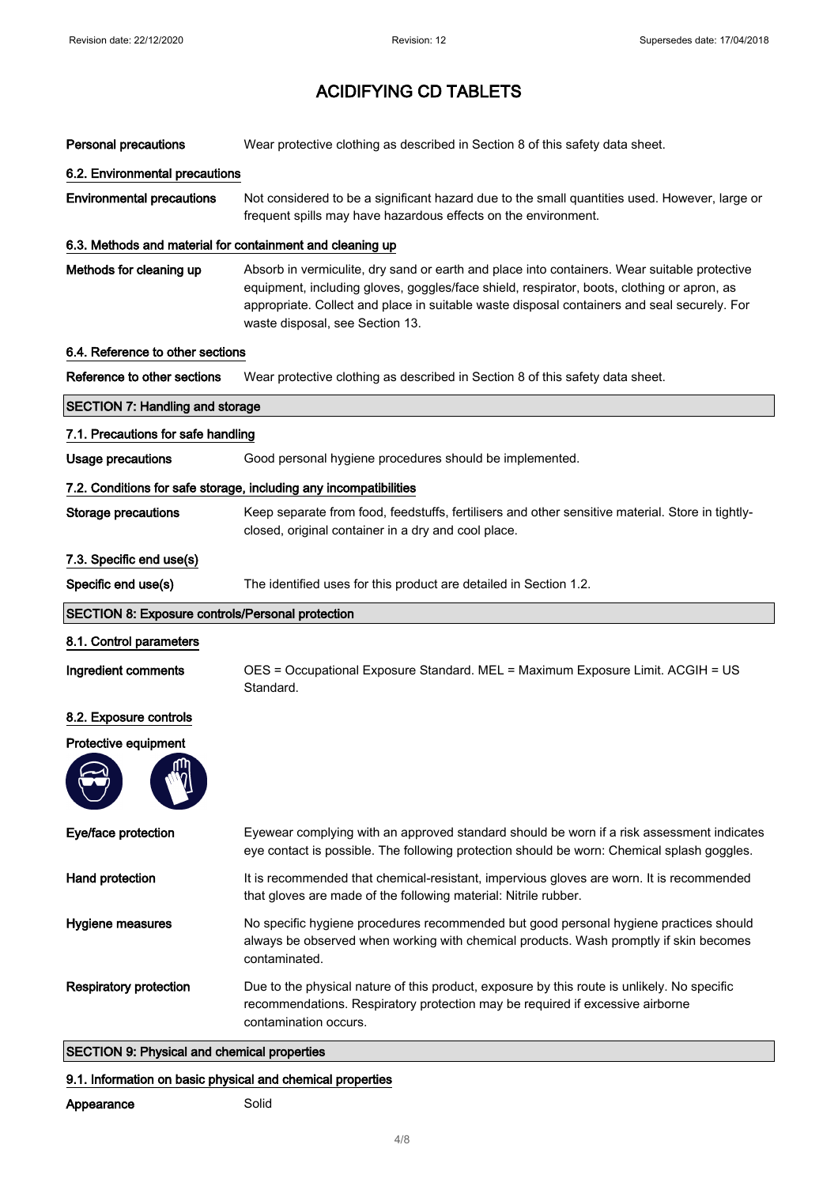| <b>Personal precautions</b>                               | Wear protective clothing as described in Section 8 of this safety data sheet.                                                                                                                                                                                                                                                |
|-----------------------------------------------------------|------------------------------------------------------------------------------------------------------------------------------------------------------------------------------------------------------------------------------------------------------------------------------------------------------------------------------|
| 6.2. Environmental precautions                            |                                                                                                                                                                                                                                                                                                                              |
| <b>Environmental precautions</b>                          | Not considered to be a significant hazard due to the small quantities used. However, large or<br>frequent spills may have hazardous effects on the environment.                                                                                                                                                              |
| 6.3. Methods and material for containment and cleaning up |                                                                                                                                                                                                                                                                                                                              |
| Methods for cleaning up                                   | Absorb in vermiculite, dry sand or earth and place into containers. Wear suitable protective<br>equipment, including gloves, goggles/face shield, respirator, boots, clothing or apron, as<br>appropriate. Collect and place in suitable waste disposal containers and seal securely. For<br>waste disposal, see Section 13. |
| 6.4. Reference to other sections                          |                                                                                                                                                                                                                                                                                                                              |
| Reference to other sections                               | Wear protective clothing as described in Section 8 of this safety data sheet.                                                                                                                                                                                                                                                |
| <b>SECTION 7: Handling and storage</b>                    |                                                                                                                                                                                                                                                                                                                              |
| 7.1. Precautions for safe handling                        |                                                                                                                                                                                                                                                                                                                              |
| <b>Usage precautions</b>                                  | Good personal hygiene procedures should be implemented.                                                                                                                                                                                                                                                                      |
|                                                           | 7.2. Conditions for safe storage, including any incompatibilities                                                                                                                                                                                                                                                            |
| <b>Storage precautions</b>                                | Keep separate from food, feedstuffs, fertilisers and other sensitive material. Store in tightly-<br>closed, original container in a dry and cool place.                                                                                                                                                                      |
| 7.3. Specific end use(s)                                  |                                                                                                                                                                                                                                                                                                                              |
| Specific end use(s)                                       | The identified uses for this product are detailed in Section 1.2.                                                                                                                                                                                                                                                            |
|                                                           |                                                                                                                                                                                                                                                                                                                              |
| <b>SECTION 8: Exposure controls/Personal protection</b>   |                                                                                                                                                                                                                                                                                                                              |
| 8.1. Control parameters                                   |                                                                                                                                                                                                                                                                                                                              |
| Ingredient comments                                       | OES = Occupational Exposure Standard. MEL = Maximum Exposure Limit. ACGIH = US<br>Standard.                                                                                                                                                                                                                                  |
| 8.2. Exposure controls                                    |                                                                                                                                                                                                                                                                                                                              |
| Protective equipment<br>ጠከ                                |                                                                                                                                                                                                                                                                                                                              |
| Eye/face protection                                       | Eyewear complying with an approved standard should be worn if a risk assessment indicates<br>eye contact is possible. The following protection should be worn: Chemical splash goggles.                                                                                                                                      |
| Hand protection                                           | It is recommended that chemical-resistant, impervious gloves are worn. It is recommended<br>that gloves are made of the following material: Nitrile rubber.                                                                                                                                                                  |
| Hygiene measures                                          | No specific hygiene procedures recommended but good personal hygiene practices should<br>always be observed when working with chemical products. Wash promptly if skin becomes<br>contaminated.                                                                                                                              |
| <b>Respiratory protection</b>                             | Due to the physical nature of this product, exposure by this route is unlikely. No specific<br>recommendations. Respiratory protection may be required if excessive airborne<br>contamination occurs.                                                                                                                        |

### 9.1. Information on basic physical and chemical properties

### Appearance Solid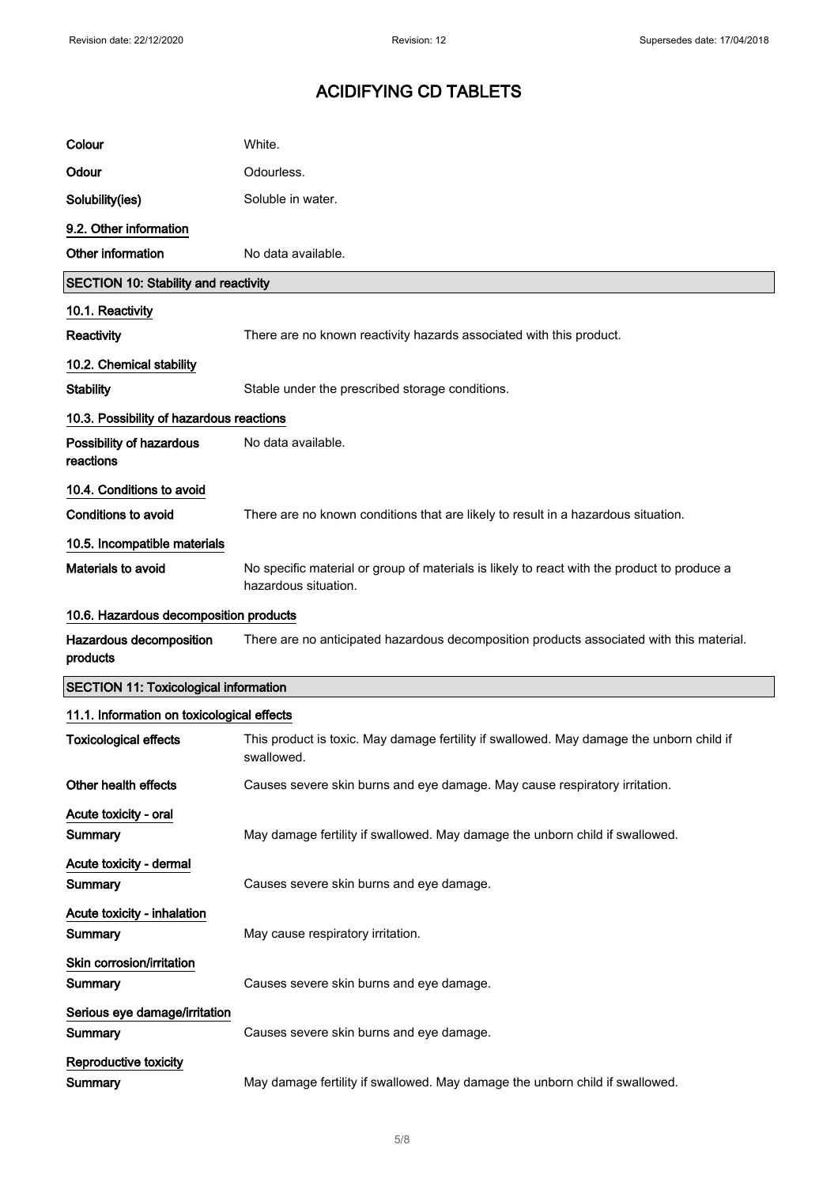| Colour                                       | White.                                                                                                              |  |
|----------------------------------------------|---------------------------------------------------------------------------------------------------------------------|--|
| Odour                                        | Odourless.                                                                                                          |  |
| Solubility(ies)                              | Soluble in water.                                                                                                   |  |
| 9.2. Other information                       |                                                                                                                     |  |
| Other information                            | No data available.                                                                                                  |  |
| <b>SECTION 10: Stability and reactivity</b>  |                                                                                                                     |  |
| 10.1. Reactivity                             |                                                                                                                     |  |
| Reactivity                                   | There are no known reactivity hazards associated with this product.                                                 |  |
| 10.2. Chemical stability                     |                                                                                                                     |  |
| <b>Stability</b>                             | Stable under the prescribed storage conditions.                                                                     |  |
| 10.3. Possibility of hazardous reactions     |                                                                                                                     |  |
| Possibility of hazardous<br>reactions        | No data available.                                                                                                  |  |
| 10.4. Conditions to avoid                    |                                                                                                                     |  |
| <b>Conditions to avoid</b>                   | There are no known conditions that are likely to result in a hazardous situation.                                   |  |
| 10.5. Incompatible materials                 |                                                                                                                     |  |
| <b>Materials to avoid</b>                    | No specific material or group of materials is likely to react with the product to produce a<br>hazardous situation. |  |
| 10.6. Hazardous decomposition products       |                                                                                                                     |  |
| Hazardous decomposition<br>products          | There are no anticipated hazardous decomposition products associated with this material.                            |  |
| <b>SECTION 11: Toxicological information</b> |                                                                                                                     |  |
| 11.1. Information on toxicological effects   |                                                                                                                     |  |
| <b>Toxicological effects</b>                 | This product is toxic. May damage fertility if swallowed. May damage the unborn child if<br>swallowed.              |  |
| Other health effects                         | Causes severe skin burns and eye damage. May cause respiratory irritation.                                          |  |
| Acute toxicity - oral                        |                                                                                                                     |  |
| Summary                                      | May damage fertility if swallowed. May damage the unborn child if swallowed.                                        |  |
| Acute toxicity - dermal                      |                                                                                                                     |  |
| Summary                                      | Causes severe skin burns and eye damage.                                                                            |  |
| Acute toxicity - inhalation<br>Summary       | May cause respiratory irritation.                                                                                   |  |
| Skin corrosion/irritation<br>Summary         | Causes severe skin burns and eye damage.                                                                            |  |
| Serious eye damage/irritation<br>Summary     | Causes severe skin burns and eye damage.                                                                            |  |
| <b>Reproductive toxicity</b><br>Summary      | May damage fertility if swallowed. May damage the unborn child if swallowed.                                        |  |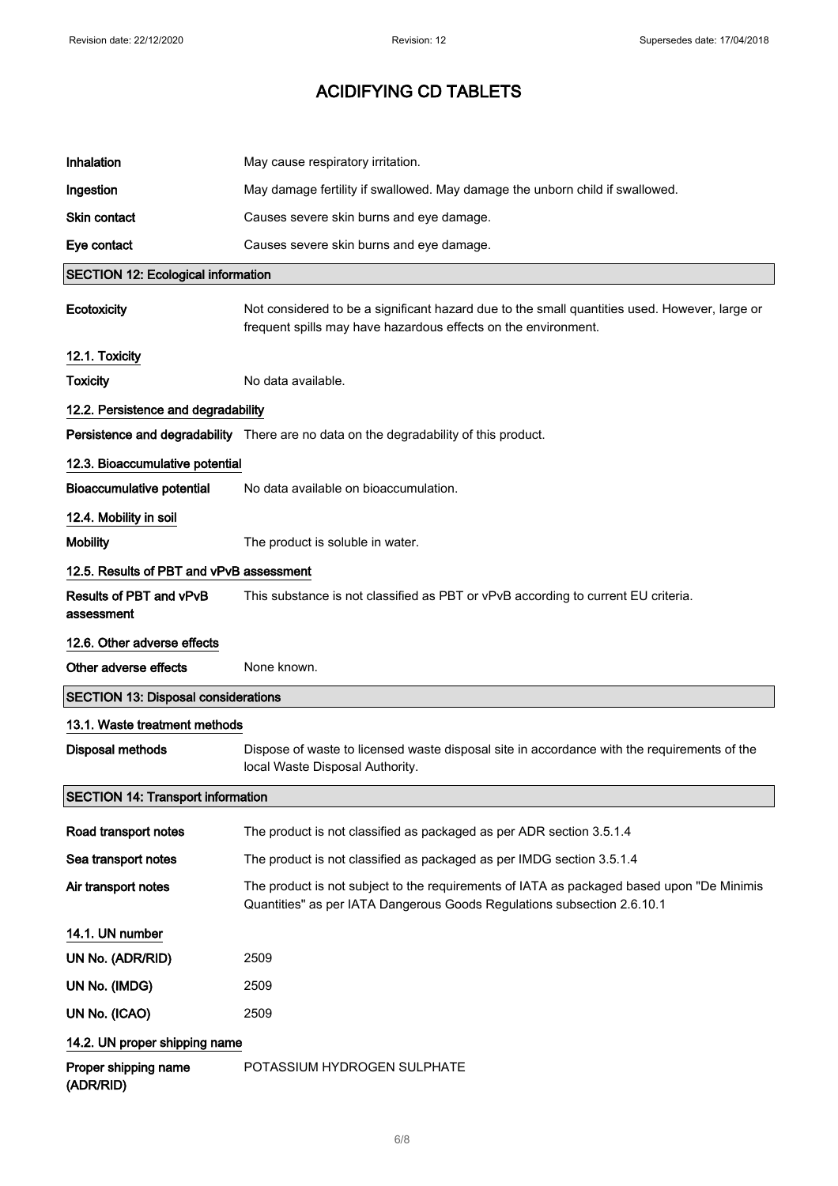| Inhalation                                 | May cause respiratory irritation.                                                                                                                                    |
|--------------------------------------------|----------------------------------------------------------------------------------------------------------------------------------------------------------------------|
| Ingestion                                  | May damage fertility if swallowed. May damage the unborn child if swallowed.                                                                                         |
| <b>Skin contact</b>                        | Causes severe skin burns and eye damage.                                                                                                                             |
| Eye contact                                | Causes severe skin burns and eye damage.                                                                                                                             |
| <b>SECTION 12: Ecological information</b>  |                                                                                                                                                                      |
| Ecotoxicity                                | Not considered to be a significant hazard due to the small quantities used. However, large or<br>frequent spills may have hazardous effects on the environment.      |
| 12.1. Toxicity                             |                                                                                                                                                                      |
| <b>Toxicity</b>                            | No data available.                                                                                                                                                   |
| 12.2. Persistence and degradability        |                                                                                                                                                                      |
|                                            | Persistence and degradability There are no data on the degradability of this product.                                                                                |
| 12.3. Bioaccumulative potential            |                                                                                                                                                                      |
| <b>Bioaccumulative potential</b>           | No data available on bioaccumulation.                                                                                                                                |
| 12.4. Mobility in soil                     |                                                                                                                                                                      |
| <b>Mobility</b>                            | The product is soluble in water.                                                                                                                                     |
| 12.5. Results of PBT and vPvB assessment   |                                                                                                                                                                      |
| Results of PBT and vPvB<br>assessment      | This substance is not classified as PBT or vPvB according to current EU criteria.                                                                                    |
| 12.6. Other adverse effects                |                                                                                                                                                                      |
| Other adverse effects                      | None known.                                                                                                                                                          |
| <b>SECTION 13: Disposal considerations</b> |                                                                                                                                                                      |
| 13.1. Waste treatment methods              |                                                                                                                                                                      |
| <b>Disposal methods</b>                    | Dispose of waste to licensed waste disposal site in accordance with the requirements of the<br>local Waste Disposal Authority.                                       |
| <b>SECTION 14: Transport information</b>   |                                                                                                                                                                      |
| Road transport notes                       | The product is not classified as packaged as per ADR section 3.5.1.4                                                                                                 |
| Sea transport notes                        | The product is not classified as packaged as per IMDG section 3.5.1.4                                                                                                |
| Air transport notes                        | The product is not subject to the requirements of IATA as packaged based upon "De Minimis<br>Quantities" as per IATA Dangerous Goods Regulations subsection 2.6.10.1 |
| 14.1. UN number                            |                                                                                                                                                                      |
| UN No. (ADR/RID)                           | 2509                                                                                                                                                                 |
|                                            | 2509                                                                                                                                                                 |
| UN No. (IMDG)                              |                                                                                                                                                                      |
| UN No. (ICAO)                              | 2509                                                                                                                                                                 |
| 14.2. UN proper shipping name              |                                                                                                                                                                      |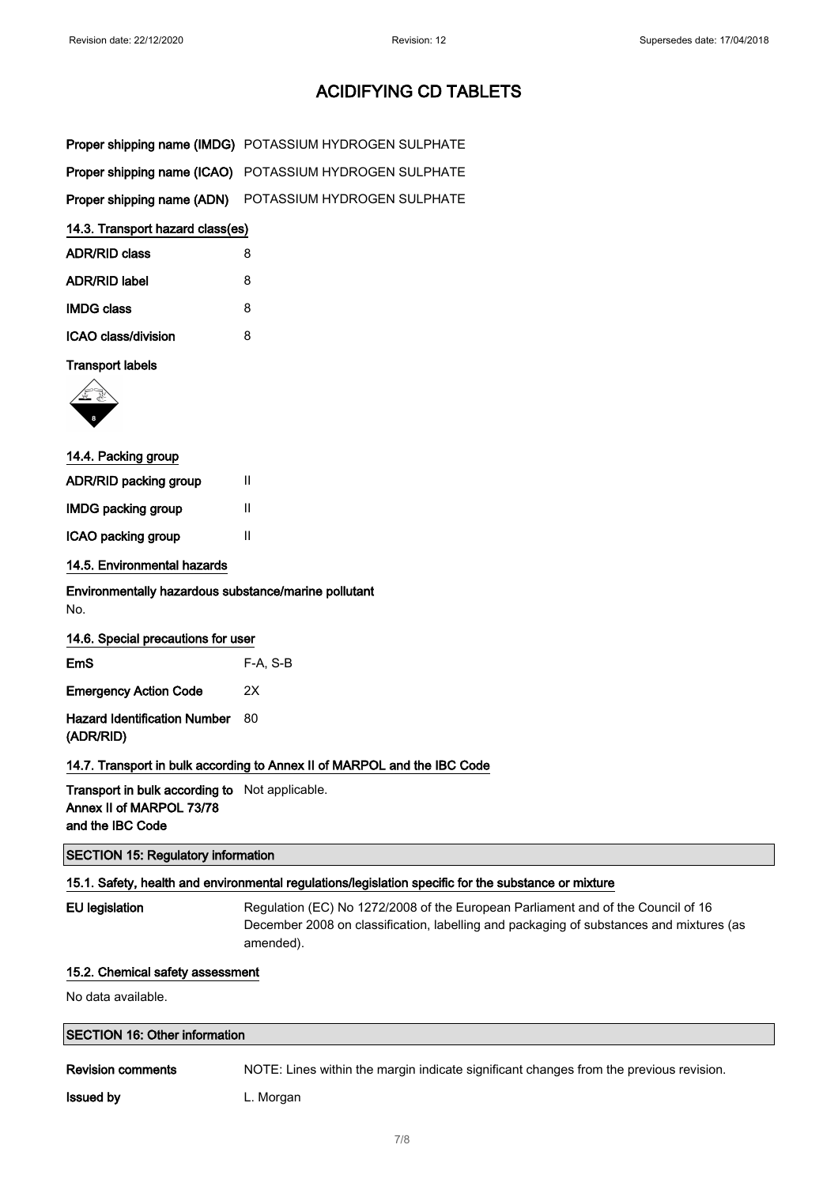| Proper shipping name (IMDG) POTASSIUM HYDROGEN SULPHATE |
|---------------------------------------------------------|
| Proper shipping name (ICAO) POTASSIUM HYDROGEN SULPHATE |
| Proper shipping name (ADN) POTASSIUM HYDROGEN SULPHATE  |

#### 14.3. Transport hazard class(es)

| <b>ADR/RID class</b> | 8 |
|----------------------|---|
| <b>ADR/RID label</b> | 8 |
| <b>IMDG class</b>    | 8 |
| ICAO class/division  | 8 |

#### Transport labels



| 14.4. Packing group          |   |  |
|------------------------------|---|--|
| <b>ADR/RID packing group</b> | Ш |  |
| <b>IMDG packing group</b>    | Ш |  |
| ICAO packing group           | Ш |  |
|                              |   |  |

#### 14.5. Environmental hazards

Environmentally hazardous substance/marine pollutant No.

#### 14.6. Special precautions for user

| EmS                             | $F-A. S-B$ |
|---------------------------------|------------|
| <b>Emergency Action Code</b>    | 2X         |
| Hazard Identification Number 80 |            |

(ADR/RID)

#### 14.7. Transport in bulk according to Annex II of MARPOL and the IBC Code

Transport in bulk according to Not applicable. Annex II of MARPOL 73/78 and the IBC Code

#### SECTION 15: Regulatory information

#### 15.1. Safety, health and environmental regulations/legislation specific for the substance or mixture

EU legislation Regulation (EC) No 1272/2008 of the European Parliament and of the Council of 16 December 2008 on classification, labelling and packaging of substances and mixtures (as amended).

#### 15.2. Chemical safety assessment

No data available.

#### SECTION 16: Other information

Revision comments NOTE: Lines within the margin indicate significant changes from the previous revision.

**Issued by Community** L. Morgan